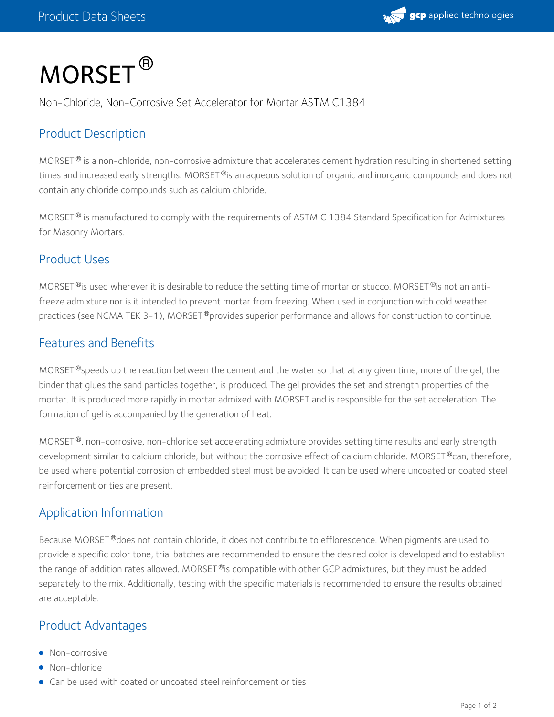

# $\mathsf{MORSET}^\circledR$

Non-Chloride, Non-Corrosive Set Accelerator for Mortar ASTM C1384

## Product Description

MORSET  $^\circ$  is a non-chloride, non-corrosive admixture that accelerates cement hydration resulting in shortened setting times and increased early strengths. MORSET  $^\circ$ is an aqueous solution of organic and inorganic compounds and does not contain any chloride compounds such as calcium chloride.

MORSET  $^{\circledR}$  is manufactured to comply with the requirements of ASTM C 1384 Standard Specification for Admixtures for Masonry Mortars.

#### Product Uses

MORSET  $^{\circledR}$ is used wherever it is desirable to reduce the setting time of mortar or stucco. MORSET  $^{\circledR}$ is not an antifreeze admixture nor is it intended to prevent mortar from freezing. When used in conjunction with cold weather practices (see NCMA TEK 3-1), MORSET®provides superior performance and allows for construction to continue.

### Features and Benefits

MORSET  $^\circledR$ speeds up the reaction between the cement and the water so that at any given time, more of the gel, the binder that glues the sand particles together, is produced. The gel provides the set and strength properties of the mortar. It is produced more rapidly in mortar admixed with MORSET and is responsible for the set acceleration. The formation of gel is accompanied by the generation of heat.

MORSET  $^\circ$ , non-corrosive, non-chloride set accelerating admixture provides setting time results and early strength development similar to calcium chloride, but without the corrosive effect of calcium chloride. MORSET®can, therefore, be used where potential corrosion of embedded steel must be avoided. It can be used where uncoated or coated steel reinforcement or ties are present.

## Application Information

Because MORSET®does not contain chloride, it does not contribute to efflorescence. When pigments are used to provide a specific color tone, trial batches are recommended to ensure the desired color is developed and to establish the range of addition rates allowed. MORSET®is compatible with other GCP admixtures, but they must be added separately to the mix. Additionally, testing with the specific materials is recommended to ensure the results obtained are acceptable.

### Product Advantages

- Non-corrosive
- Non-chloride
- Can be used with coated or uncoated steel reinforcement or ties